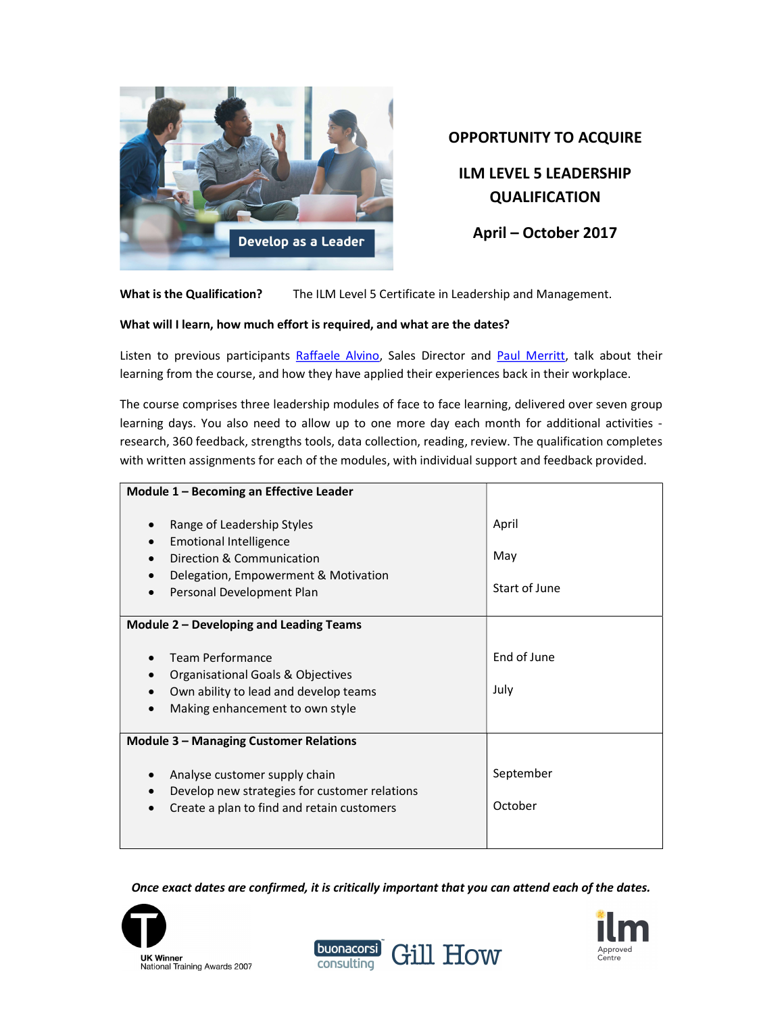

# OPPORTUNITY TO ACQUIRE

ILM LEVEL 5 LEADERSHIP QUALIFICATION

April – October 2017

What is the Qualification? The ILM Level 5 Certificate in Leadership and Management.

# What will I learn, how much effort is required, and what are the dates?

Listen to previous participants Raffaele Alvino, Sales Director and Paul Merritt, talk about their learning from the course, and how they have applied their experiences back in their workplace.

The course comprises three leadership modules of face to face learning, delivered over seven group learning days. You also need to allow up to one more day each month for additional activities research, 360 feedback, strengths tools, data collection, reading, review. The qualification completes with written assignments for each of the modules, with individual support and feedback provided.

| Module 1 - Becoming an Effective Leader                                                                                                                                                 |                               |
|-----------------------------------------------------------------------------------------------------------------------------------------------------------------------------------------|-------------------------------|
| Range of Leadership Styles<br>$\bullet$<br><b>Emotional Intelligence</b><br>Direction & Communication<br>Delegation, Empowerment & Motivation<br>Personal Development Plan<br>$\bullet$ | April<br>May<br>Start of June |
| Module 2 – Developing and Leading Teams                                                                                                                                                 |                               |
| <b>Team Performance</b><br>Organisational Goals & Objectives<br>Own ability to lead and develop teams<br>Making enhancement to own style                                                | End of June<br>July           |
| <b>Module 3 - Managing Customer Relations</b>                                                                                                                                           |                               |
| Analyse customer supply chain<br>Develop new strategies for customer relations<br>Create a plan to find and retain customers                                                            | September<br>October          |

Once exact dates are confirmed, it is critically important that you can attend each of the dates.